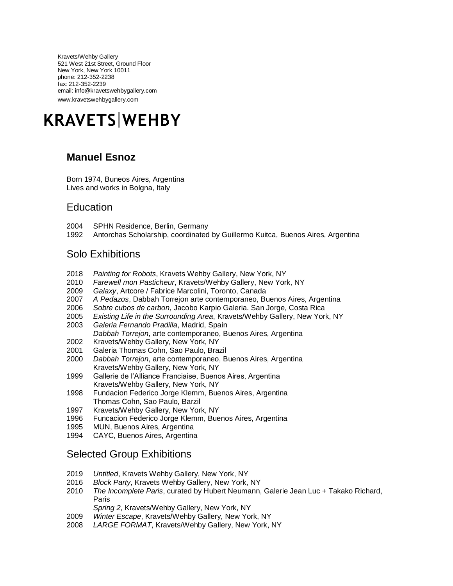Kravets/Wehby Gallery 521 West 21st Street, Ground Floor New York, New York 10011 phone: 212-352-2238 fax: 212-352-2239 email: info@kravetswehbygallery.com www.kravetswehbygallery.com



## **Manuel Esnoz**

Born 1974, Buneos Aires, Argentina Lives and works in Bolgna, Italy

#### **Education**

- 2004 SPHN Residence, Berlin, Germany
- 1992 Antorchas Scholarship, coordinated by Guillermo Kuitca, Buenos Aires, Argentina

### Solo Exhibitions

- 2018 *Painting for Robots*, Kravets Wehby Gallery, New York, NY
- 2010 *Farewell mon Pasticheur*, Kravets/Wehby Gallery, New York, NY
- 2009 *Galaxy*, Artcore / Fabrice Marcolini, Toronto, Canada
- 2007 *A Pedazos*, Dabbah Torrejon arte contemporaneo, Buenos Aires, Argentina
- 2006 *Sobre cubos de carbon*, Jacobo Karpio Galeria. San Jorge, Costa Rica
- 2005 *Existing Life in the Surrounding Area*, Kravets/Wehby Gallery, New York, NY
- 2003 *Galeria Fernando Pradilla*, Madrid, Spain *Dabbah Torrejon*, arte contemporaneo, Buenos Aires, Argentina
- 2002 Kravets/Wehby Gallery, New York, NY
- 2001 Galeria Thomas Cohn, Sao Paulo, Brazil
- 2000 *Dabbah Torrejon*, arte contemporaneo, Buenos Aires, Argentina Kravets/Wehby Gallery, New York, NY
- 1999 Gallerie de l'Alliance Franciaise, Buenos Aires, Argentina Kravets/Wehby Gallery, New York, NY
- 1998 Fundacion Federico Jorge Klemm, Buenos Aires, Argentina Thomas Cohn, Sao Paulo, Barzil
- 1997 Kravets/Wehby Gallery, New York, NY
- 1996 Funcacion Federico Jorge Klemm, Buenos Aires, Argentina
- 1995 MUN, Buenos Aires, Argentina
- 1994 CAYC, Buenos Aires, Argentina

### Selected Group Exhibitions

- 2019 *Untitled*, Kravets Wehby Gallery, New York, NY
- 2016 *Block Party*, Kravets Wehby Gallery, New York, NY
- 2010 *The Incomplete Paris*, curated by Hubert Neumann, Galerie Jean Luc + Takako Richard, Paris
	- *Spring 2*, Kravets/Wehby Gallery, New York, NY
- 2009 *Winter Escape*, Kravets/Wehby Gallery, New York, NY
- 2008 *LARGE FORMAT*, Kravets/Wehby Gallery, New York, NY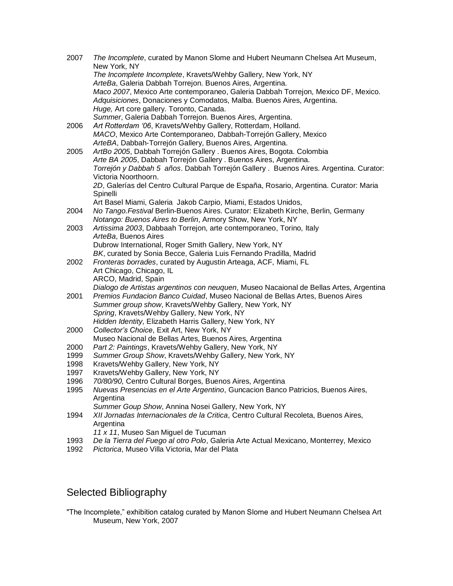| 2007 | The Incomplete, curated by Manon Slome and Hubert Neumann Chelsea Art Museum,<br>New York, NY |
|------|-----------------------------------------------------------------------------------------------|
|      | The Incomplete Incomplete, Kravets/Wehby Gallery, New York, NY                                |
|      | ArteBa, Galeria Dabbah Torrejon. Buenos Aires, Argentina.                                     |
|      | Maco 2007, Mexico Arte contemporaneo, Galeria Dabbah Torrejon, Mexico DF, Mexico.             |
|      | Adquisiciones, Donaciones y Comodatos, Malba. Buenos Aires, Argentina.                        |
|      | Huge, Art core gallery. Toronto, Canada.                                                      |
|      | Summer, Galeria Dabbah Torrejon. Buenos Aires, Argentina.                                     |
| 2006 | Art Rotterdam '06, Kravets/Wehby Gallery, Rotterdam, Holland.                                 |
|      | MACO, Mexico Arte Contemporaneo, Dabbah-Torrejón Gallery, Mexico                              |
|      | ArteBA, Dabbah-Torrejón Gallery, Buenos Aires, Argentina.                                     |
| 2005 | ArtBo 2005, Dabbah Torrejón Gallery . Buenos Aires, Bogota. Colombia                          |
|      | Arte BA 2005, Dabbah Torrejón Gallery . Buenos Aires, Argentina.                              |
|      | Torrejón y Dabbah 5 años. Dabbah Torrejón Gallery . Buenos Aires. Argentina. Curator:         |
|      | Victoria Noorthoorn.                                                                          |
|      | 2D, Galerías del Centro Cultural Parque de España, Rosario, Argentina. Curator: Maria         |
|      | Spinelli                                                                                      |
|      | Art Basel Miami, Galeria Jakob Carpio, Miami, Estados Unidos,                                 |
| 2004 | No Tango. Festival Berlin-Buenos Aires. Curator: Elizabeth Kirche, Berlin, Germany            |
|      | Notango: Buenos Aires to Berlin, Armory Show, New York, NY                                    |
| 2003 | Artissima 2003, Dabbaah Torrejon, arte contemporaneo, Torino, Italy                           |
|      | ArteBa, Buenos Aires                                                                          |
|      | Dubrow International, Roger Smith Gallery, New York, NY                                       |
|      | BK, curated by Sonia Becce, Galeria Luis Fernando Pradilla, Madrid                            |
| 2002 | Fronteras borrades, curated by Augustin Arteaga, ACF, Miami, FL<br>Art Chicago, Chicago, IL   |
|      | ARCO, Madrid, Spain                                                                           |
|      | Dialogo de Artistas argentinos con neuquen, Museo Nacaional de Bellas Artes, Argentina        |
| 2001 | Premios Fundacion Banco Cuidad, Museo Nacional de Bellas Artes, Buenos Aires                  |
|      | Summer group show, Kravets/Wehby Gallery, New York, NY                                        |
|      | Spring, Kravets/Wehby Gallery, New York, NY                                                   |
|      | Hidden Identity, Elizabeth Harris Gallery, New York, NY                                       |
| 2000 | Collector's Choice, Exit Art, New York, NY                                                    |
|      | Museo Nacional de Bellas Artes, Buenos Aires, Argentina                                       |
| 2000 | Part 2: Paintings, Kravets/Wehby Gallery, New York, NY                                        |
| 1999 | Summer Group Show, Kravets/Wehby Gallery, New York, NY                                        |
| 1998 | Kravets/Wehby Gallery, New York, NY                                                           |
| 1997 | Kravets/Wehby Gallery, New York, NY                                                           |
| 1996 | 70/80/90, Centro Cultural Borges, Buenos Aires, Argentina                                     |
| 1995 | Nuevas Presencias en el Arte Argentino, Guncacion Banco Patricios, Buenos Aires,              |
|      | Argentina                                                                                     |
|      | Summer Goup Show, Annina Nosei Gallery, New York, NY                                          |
| 1994 | XII Jornadas Internacionales de la Critica, Centro Cultural Recoleta, Buenos Aires,           |
|      | Argentina                                                                                     |
|      | 11 x 11, Museo San Miguel de Tucuman                                                          |
| 1993 | De la Tierra del Fuego al otro Polo, Galeria Arte Actual Mexicano, Monterrey, Mexico          |
| 1992 | Pictorica, Museo Villa Victoria, Mar del Plata                                                |

# Selected Bibliography

"The Incomplete," exhibition catalog curated by Manon Slome and Hubert Neumann Chelsea Art Museum, New York, 2007